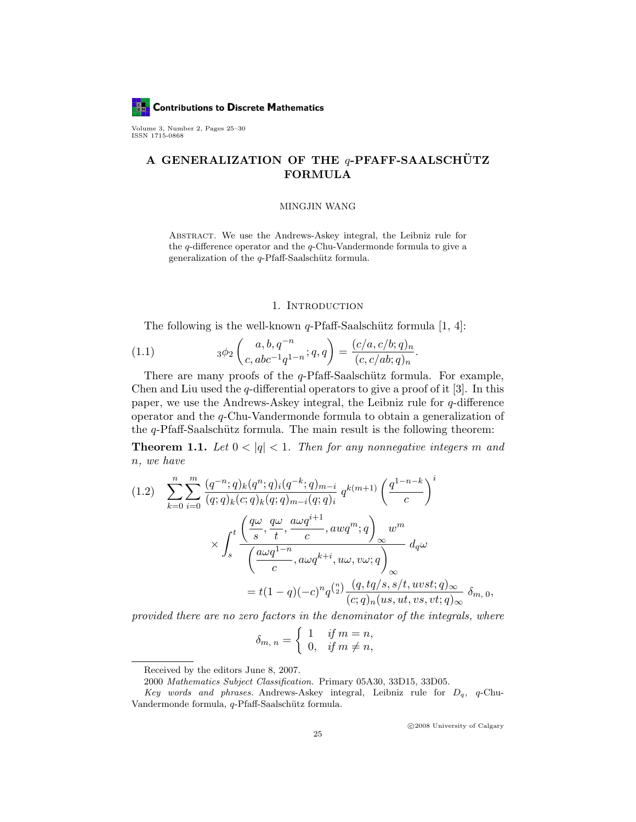**Contributions to Discrete Mathematics BM** 

Volume 3, Number 2, Pages 25–30 ISSN 1715-0868

# A GENERALIZATION OF THE  $q$ -PFAFF-SAALSCHÜTZ FORMULA

### MINGJIN WANG

Abstract. We use the Andrews-Askey integral, the Leibniz rule for the q-difference operator and the q-Chu-Vandermonde formula to give a generalization of the  $q$ -Pfaff-Saalschütz formula.

### 1. INTRODUCTION

The following is the well-known  $q$ -Pfaff-Saalschütz formula [1, 4]:

(1.1) 
$$
3\phi_2\begin{pmatrix} a, b, q^{-n} \\ c, abc^{-1}q^{1-n} \end{pmatrix} = \frac{(c/a, c/b; q)_n}{(c, c/ab; q)_n}.
$$

There are many proofs of the  $q$ -Pfaff-Saalschütz formula. For example, Chen and Liu used the  $q$ -differential operators to give a proof of it [3]. In this paper, we use the Andrews-Askey integral, the Leibniz rule for q-difference operator and the q-Chu-Vandermonde formula to obtain a generalization of the  $q$ -Pfaff-Saalschütz formula. The main result is the following theorem:

**Theorem 1.1.** Let  $0 < |q| < 1$ . Then for any nonnegative integers m and n, we have

$$
(1.2) \sum_{k=0}^{n} \sum_{i=0}^{m} \frac{(q^{-n};q)_k (q^n; q)_i (q^{-k}; q)_{m-i}}{(q; q)_k (c; q)_k (q; q)_{m-i} (q; q)_i} q^{k(m+1)} \left(\frac{q^{1-n-k}}{c}\right)^i
$$

$$
\times \int_s^t \frac{\left(\frac{q\omega}{s}, \frac{q\omega}{t}, \frac{a\omega q^{i+1}}{c}, awq^m; q\right)_{\infty} w^m}{\left(\frac{a\omega q^{1-n}}{c}, a\omega q^{k+i}, u\omega, v\omega; q\right)_{\infty}} d_q \omega
$$

$$
= t(1-q)(-c)^n q^{\binom{n}{2}} \frac{(q, tq/s, s/t, u v s t; q)_{\infty}}{(c; q)_n (us, ut, v s, vt; q)_{\infty}} \delta_{m, 0},
$$

provided there are no zero factors in the denominator of the integrals, where

$$
\delta_{m, n} = \begin{cases} 1 & \text{if } m = n, \\ 0, & \text{if } m \neq n, \end{cases}
$$

c 2008 University of Calgary

Received by the editors June 8, 2007.

<sup>2000</sup> Mathematics Subject Classification. Primary 05A30, 33D15, 33D05.

Key words and phrases. Andrews-Askey integral, Leibniz rule for  $D_q$ , q-Chu-Vandermonde formula, q-Pfaff-Saalschütz formula.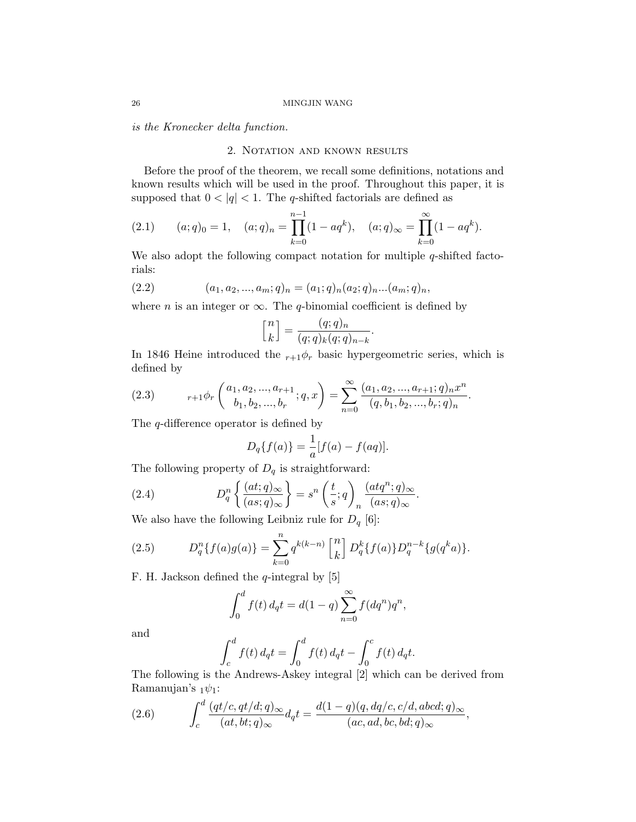is the Kronecker delta function.

# 2. NOTATION AND KNOWN RESULTS

Before the proof of the theorem, we recall some definitions, notations and known results which will be used in the proof. Throughout this paper, it is supposed that  $0 < |q| < 1$ . The q-shifted factorials are defined as

(2.1) 
$$
(a;q)_0 = 1
$$
,  $(a;q)_n = \prod_{k=0}^{n-1} (1 - aq^k)$ ,  $(a;q)_{\infty} = \prod_{k=0}^{\infty} (1 - aq^k)$ .

We also adopt the following compact notation for multiple q-shifted factorials:

(2.2) 
$$
(a_1, a_2, ..., a_m; q)_n = (a_1; q)_n (a_2; q)_n ... (a_m; q)_n,
$$

where *n* is an integer or  $\infty$ . The *q*-binomial coefficient is defined by

$$
\begin{bmatrix} n \\ k \end{bmatrix} = \frac{(q;q)_n}{(q;q)_k (q;q)_{n-k}}
$$

.

In 1846 Heine introduced the  $r+1\phi_r$  basic hypergeometric series, which is defined by

(2.3) 
$$
{}_{r+1}\phi_r\left(\begin{matrix}a_1, a_2, ..., a_{r+1} \\ b_1, b_2, ..., b_r\end{matrix}; q, x\right) = \sum_{n=0}^{\infty} \frac{(a_1, a_2, ..., a_{r+1}; q)_n x^n}{(q, b_1, b_2, ..., b_r; q)_n}.
$$

The q-difference operator is defined by

$$
D_q\{f(a)\} = \frac{1}{a}[f(a) - f(aq)].
$$

The following property of  $D_q$  is straightforward:

(2.4) 
$$
D_q^n \left\{ \frac{(at;q)_{\infty}}{(as;q)_{\infty}} \right\} = s^n \left( \frac{t}{s};q \right)_n \frac{(atq^n;q)_{\infty}}{(as;q)_{\infty}}.
$$

We also have the following Leibniz rule for  $D_q$  [6]:

(2.5) 
$$
D_q^n\{f(a)g(a)\} = \sum_{k=0}^n q^{k(k-n)} \begin{bmatrix} n \\ k \end{bmatrix} D_q^k\{f(a)\} D_q^{n-k}\{g(q^ka)\}.
$$

F. H. Jackson defined the  $q$ -integral by [5]

$$
\int_0^d f(t) \, d_q t = d(1-q) \sum_{n=0}^\infty f(dq^n) q^n,
$$

and

$$
\int_{c}^{d} f(t) d_q t = \int_{0}^{d} f(t) d_q t - \int_{0}^{c} f(t) d_q t.
$$

The following is the Andrews-Askey integral [2] which can be derived from Ramanujan's  $_1\psi_1$ :

(2.6) 
$$
\int_c^d \frac{(qt/c, qt/d; q)_{\infty}}{(at, bt; q)_{\infty}} d_q t = \frac{d(1-q)(q, dq/c, c/d, abcd; q)_{\infty}}{(ac, ad, bc, bd; q)_{\infty}},
$$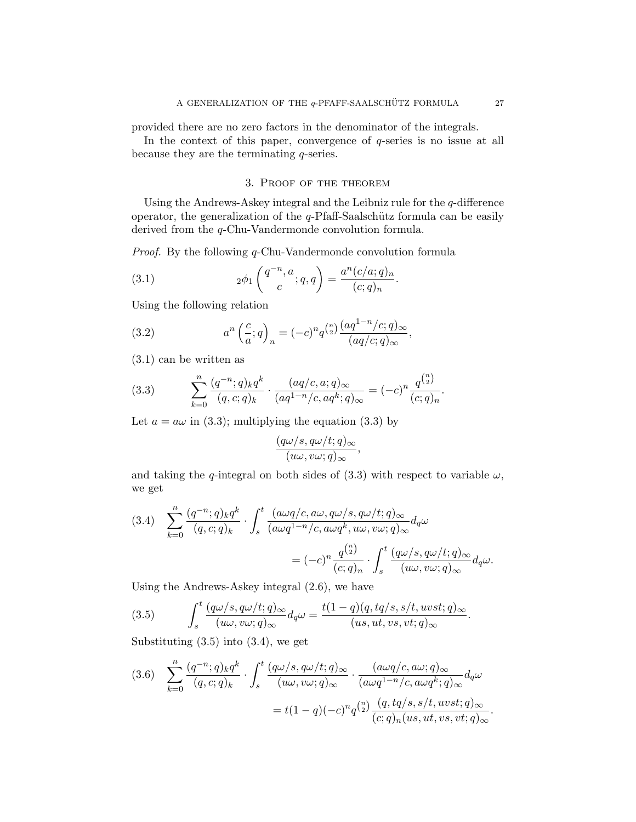provided there are no zero factors in the denominator of the integrals.

In the context of this paper, convergence of q-series is no issue at all because they are the terminating q-series.

# 3. Proof of the theorem

Using the Andrews-Askey integral and the Leibniz rule for the  $q$ -difference operator, the generalization of the  $q$ -Pfaff-Saalschütz formula can be easily derived from the q-Chu-Vandermonde convolution formula.

Proof. By the following q-Chu-Vandermonde convolution formula

(3.1) 
$$
2\phi_1\left(\frac{q^{-n},a}{c};q,q\right) = \frac{a^n(c/a;q)_n}{(c;q)_n}.
$$

Using the following relation

(3.2) 
$$
a^{n} \left(\frac{c}{a}; q\right)_{n} = (-c)^{n} q^{\binom{n}{2}} \frac{(aq^{1-n}/c; q)_{\infty}}{(aq/c; q)_{\infty}},
$$

(3.1) can be written as

(3.3) 
$$
\sum_{k=0}^{n} \frac{(q^{-n};q)_k q^k}{(q,c;q)_k} \cdot \frac{(aq/c,a;q)_{\infty}}{(aq^{1-n}/c,aq^k;q)_{\infty}} = (-c)^n \frac{q^{\binom{n}{2}}}{(c;q)_n}.
$$

Let  $a = a\omega$  in (3.3); multiplying the equation (3.3) by

$$
\frac{(q\omega/s, q\omega/t; q)_{\infty}}{(u\omega, v\omega; q)_{\infty}},
$$

and taking the q-integral on both sides of (3.3) with respect to variable  $\omega$ , we get

(3.4) 
$$
\sum_{k=0}^{n} \frac{(q^{-n};q)_k q^k}{(q,c;q)_k} \cdot \int_s^t \frac{(a\omega q/c, a\omega, q\omega/s, q\omega/t; q)_{\infty}}{(a\omega q^{1-n}/c, a\omega q^k, u\omega, v\omega; q)_{\infty}} d_q\omega
$$

$$
= (-c)^n \frac{q^{\binom{n}{2}}}{(c;q)_n} \cdot \int_s^t \frac{(q\omega/s, q\omega/t; q)_{\infty}}{(u\omega, v\omega; q)_{\infty}} d_q\omega.
$$

Using the Andrews-Askey integral (2.6), we have

(3.5) 
$$
\int_{s}^{t} \frac{(q\omega/s, q\omega/t; q)_{\infty}}{(u\omega, v\omega; q)_{\infty}} d_{q}\omega = \frac{t(1-q)(q, tq/s, s/t, u v s t; q)_{\infty}}{(u s, ut, v s, vt; q)_{\infty}}.
$$

Substituting  $(3.5)$  into  $(3.4)$ , we get

$$
(3.6) \quad \sum_{k=0}^{n} \frac{(q^{-n};q)_k q^k}{(q,c;q)_k} \cdot \int_s^t \frac{(q\omega/s, q\omega/t; q)_{\infty}}{(u\omega, v\omega; q)_{\infty}} \cdot \frac{(a\omega q/c, a\omega; q)_{\infty}}{(a\omega q^{1-n}/c, a\omega q^k; q)_{\infty}} d_q\omega
$$

$$
= t(1-q)(-c)^n q^{\binom{n}{2}} \frac{(q, tq/s, s/t, u v s t; q)_{\infty}}{(c; q)_n (u s, ut, v s, vt; q)_{\infty}}.
$$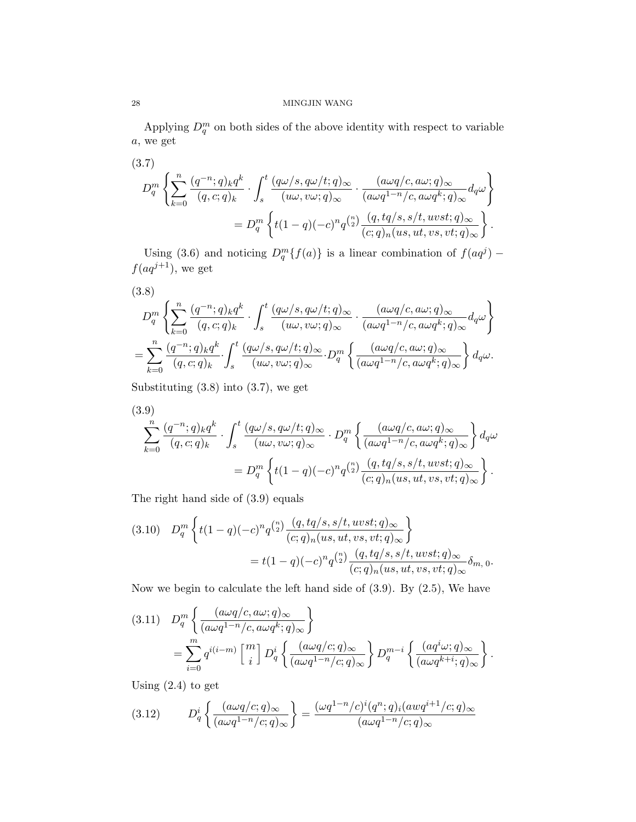### 28 MINGJIN WANG

Applying  $D_q^m$  on both sides of the above identity with respect to variable a, we get

$$
(3.7)
$$
\n
$$
D_q^m \left\{ \sum_{k=0}^n \frac{(q^{-n};q)_k q^k}{(q,c;q)_k} \cdot \int_s^t \frac{(q\omega/s, q\omega/t; q)_{\infty}}{(u\omega, v\omega; q)_{\infty}} \cdot \frac{(a\omega q/c, a\omega; q)_{\infty}}{(a\omega q^{1-n}/c, a\omega q^k; q)_{\infty}} d_q \omega \right\}
$$
\n
$$
= D_q^m \left\{ t(1-q)(-c)^n q^{\binom{n}{2}} \frac{(q, tq/s, s/t, u v s t; q)_{\infty}}{(c; q)_n (us, ut, v s, vt; q)_{\infty}} \right\}.
$$

Using (3.6) and noticing  $D_q^m\{f(a)\}\$ is a linear combination of  $f(aq^j)$  –  $f(aq^{j+1})$ , we get

(3.8)  
\n
$$
D_q^m \left\{ \sum_{k=0}^n \frac{(q^{-n};q)_k q^k}{(q,c;q)_k} \cdot \int_s^t \frac{(q\omega/s, q\omega/t; q)_{\infty}}{(u\omega, v\omega; q)_{\infty}} \cdot \frac{(a\omega q/c, a\omega; q)_{\infty}}{(a\omega q^{1-n}/c, a\omega q^k; q)_{\infty}} d_q \omega \right\}
$$
\n
$$
= \sum_{k=0}^n \frac{(q^{-n};q)_k q^k}{(q,c;q)_k} \cdot \int_s^t \frac{(q\omega/s, q\omega/t; q)_{\infty}}{(u\omega, v\omega; q)_{\infty}} \cdot D_q^m \left\{ \frac{(a\omega q/c, a\omega; q)_{\infty}}{(a\omega q^{1-n}/c, a\omega q^k; q)_{\infty}} \right\} d_q \omega.
$$

Substituting  $(3.8)$  into  $(3.7)$ , we get

$$
(3.9)
$$
\n
$$
\sum_{k=0}^{n} \frac{(q^{-n};q)_k q^k}{(q,c;q)_k} \cdot \int_s^t \frac{(q\omega/s, q\omega/t; q)_{\infty}}{(u\omega, v\omega; q)_{\infty}} \cdot D_q^m \left\{ \frac{(a\omega q/c, a\omega; q)_{\infty}}{(a\omega q^{1-n}/c, a\omega q^k; q)_{\infty}} \right\} d_q\omega
$$
\n
$$
= D_q^m \left\{ t(1-q)(-c)^n q^{\binom{n}{2}} \frac{(q, tq/s, s/t, uvst; q)_{\infty}}{(c;q)_n (us, ut, vs, vt; q)_{\infty}} \right\}.
$$

The right hand side of (3.9) equals

$$
(3.10) \quad D_q^m \left\{ t(1-q)(-c)^n q^{\binom{n}{2}} \frac{(q, tq/s, s/t, wst; q)_{\infty}}{(c; q)_n (us, ut, vs, vt; q)_{\infty}} \right\}
$$
\n
$$
= t(1-q)(-c)^n q^{\binom{n}{2}} \frac{(q, tq/s, s/t, wst; q)_{\infty}}{(c; q)_n (us, ut, vs, vt; q)_{\infty}} \delta_{m, 0}.
$$

Now we begin to calculate the left hand side of  $(3.9)$ . By  $(2.5)$ , We have

$$
(3.11) \quad D_q^m \left\{ \frac{(a\omega q/c, a\omega; q)_{\infty}}{(a\omega q^{1-n}/c, a\omega q^k; q)_{\infty}} \right\}
$$
  

$$
= \sum_{i=0}^m q^{i(i-m)} \left[ \begin{array}{c} m \\ i \end{array} \right] D_q^i \left\{ \frac{(a\omega q/c; q)_{\infty}}{(a\omega q^{1-n}/c; q)_{\infty}} \right\} D_q^{m-i} \left\{ \frac{(aq^i\omega; q)_{\infty}}{(a\omega q^{k+i}; q)_{\infty}} \right\}.
$$

Using  $(2.4)$  to get

(3.12) 
$$
D_q^i \left\{ \frac{(a\omega q/c;q)_\infty}{(a\omega q^{1-n}/c;q)_\infty} \right\} = \frac{(\omega q^{1-n}/c)^i (q^n;q)_i (awq^{i+1}/c;q)_\infty}{(a\omega q^{1-n}/c;q)_\infty}
$$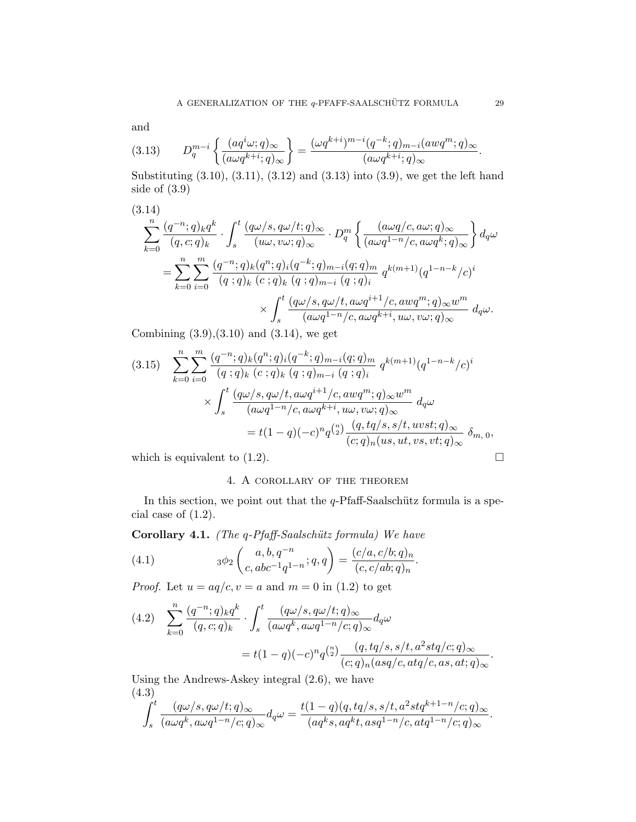and

$$
(3.13) \tD_q^{m-i}\left\{\frac{(aq^i\omega;q)_\infty}{(a\omega q^{k+i};q)_\infty}\right\} = \frac{(\omega q^{k+i})^{m-i}(q^{-k};q)_{m-i}(awq^m;q)_\infty}{(a\omega q^{k+i};q)_\infty}.
$$

Substituting (3.10), (3.11), (3.12) and (3.13) into (3.9), we get the left hand side of (3.9)

$$
(3.14)
$$
\n
$$
\sum_{k=0}^{n} \frac{(q^{-n};q)_k q^k}{(q,c;q)_k} \cdot \int_s^t \frac{(q\omega/s, q\omega/t; q)_{\infty}}{(u\omega, v\omega; q)_{\infty}} \cdot D_q^m \left\{ \frac{(a\omega q/c, a\omega; q)_{\infty}}{(a\omega q^{1-n}/c, a\omega q^k; q)_{\infty}} \right\} d_q\omega
$$
\n
$$
= \sum_{k=0}^{n} \sum_{i=0}^{m} \frac{(q^{-n};q)_k (q^n; q)_i (q^{-k}; q)_{m-i} (q; q)_m}{(q; q)_k (c; q)_k (q; q)_{m-i} (q; q)_i} q^{k(m+1)} (q^{1-n-k}/c)^i
$$
\n
$$
\times \int_s^t \frac{(q\omega/s, q\omega/t, a\omega q^{i+1}/c, a\omega q^m; q)_{\infty} w^m}{(a\omega q^{1-n}/c, a\omega q^{k+i}, u\omega, v\omega; q)_{\infty}} d_q\omega.
$$

Combining  $(3.9),(3.10)$  and  $(3.14)$ , we get

$$
(3.15) \sum_{k=0}^{n} \sum_{i=0}^{m} \frac{(q^{-n};q)_k (q^n;q)_i (q^{-k};q)_{m-i} (q;q)_m}{(q;q)_k (c;q)_k (q;q)_{m-i} (q;q)_i} q^{k(m+1)} (q^{1-n-k}/c)^i
$$

$$
\times \int_s^t \frac{(q\omega/s, q\omega/t, a\omega q^{i+1}/c, a w q^m; q)_{\infty} w^m}{(a\omega q^{1-n}/c, a\omega q^{k+i}, u\omega, v\omega; q)_{\infty}} d_q \omega
$$

$$
= t(1-q)(-c)^n q^{\binom{n}{2}} \frac{(q, tq/s, s/t, u v s t; q)_{\infty}}{(c;q)_n (us, ut, vs, vt; q)_{\infty}} \delta_{m, 0},
$$

which is equivalent to  $(1.2)$ .

# 4. A corollary of the theorem

In this section, we point out that the  $q$ -Pfaff-Saalschütz formula is a special case of (1.2).

Corollary 4.1. (The  $q$ -Pfaff-Saalschütz formula) We have

(4.1) 
$$
3\phi_2\begin{pmatrix} a, b, q^{-n} \\ c, abc^{-1}q^{1-n} \end{pmatrix} = \frac{(c/a, c/b; q)_n}{(c, c/ab; q)_n}.
$$

*Proof.* Let  $u = aq/c, v = a$  and  $m = 0$  in (1.2) to get

$$
(4.2) \quad \sum_{k=0}^{n} \frac{(q^{-n};q)_k q^k}{(q,c;q)_k} \cdot \int_s^t \frac{(q\omega/s, q\omega/t; q)_{\infty}}{(a\omega q^k, a\omega q^{1-n}/c; q)_{\infty}} d_q\omega
$$

$$
= t(1-q)(-c)^n q^{\binom{n}{2}} \frac{(q, tq/s, s/t, a^2stq/c; q)_{\infty}}{(c;q)_n (asq/c, atq/c, as, at; q)_{\infty}}.
$$

Using the Andrews-Askey integral (2.6), we have (4.3)

$$
\int_s^t \frac{(q\omega/s, q\omega/t; q)_{\infty}}{(a\omega q^k, a\omega q^{1-n}/c; q)_{\infty}} d_q \omega = \frac{t(1-q)(q, tq/s, s/t, a^2stq^{k+1-n}/c; q)_{\infty}}{(aq^ks, aq^kt, asq^{1-n}/c, atq^{1-n}/c; q)_{\infty}}.
$$